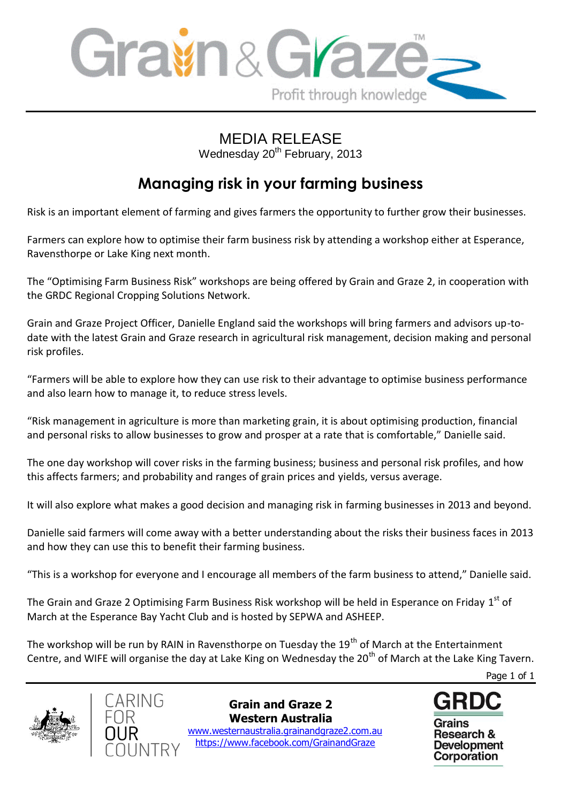

## MEDIA RELEASE

Wednesday 20<sup>th</sup> February, 2013

## **Managing risk in your farming business**

Risk is an important element of farming and gives farmers the opportunity to further grow their businesses.

Farmers can explore how to optimise their farm business risk by attending a workshop either at Esperance, Ravensthorpe or Lake King next month.

The "Optimising Farm Business Risk" workshops are being offered by Grain and Graze 2, in cooperation with the GRDC Regional Cropping Solutions Network.

Grain and Graze Project Officer, Danielle England said the workshops will bring farmers and advisors up-todate with the latest Grain and Graze research in agricultural risk management, decision making and personal risk profiles.

"Farmers will be able to explore how they can use risk to their advantage to optimise business performance and also learn how to manage it, to reduce stress levels.

"Risk management in agriculture is more than marketing grain, it is about optimising production, financial and personal risks to allow businesses to grow and prosper at a rate that is comfortable," Danielle said.

The one day workshop will cover risks in the farming business; business and personal risk profiles, and how this affects farmers; and probability and ranges of grain prices and yields, versus average.

It will also explore what makes a good decision and managing risk in farming businesses in 2013 and beyond.

Danielle said farmers will come away with a better understanding about the risks their business faces in 2013 and how they can use this to benefit their farming business.

"This is a workshop for everyone and I encourage all members of the farm business to attend," Danielle said.

The Grain and Graze 2 Optimising Farm Business Risk workshop will be held in Esperance on Friday  $1^{\text{st}}$  of March at the Esperance Bay Yacht Club and is hosted by SEPWA and ASHEEP.

The workshop will be run by RAIN in Ravensthorpe on Tuesday the 19<sup>th</sup> of March at the Entertainment Centre, and WIFE will organise the day at Lake King on Wednesday the 20<sup>th</sup> of March at the Lake King Tavern.

Page 1 of 1





**Grain and Graze 2 Western Australia**

 www.westernaustralia.grainandgraze2.com.au https://www.facebook.com/GrainandGraze